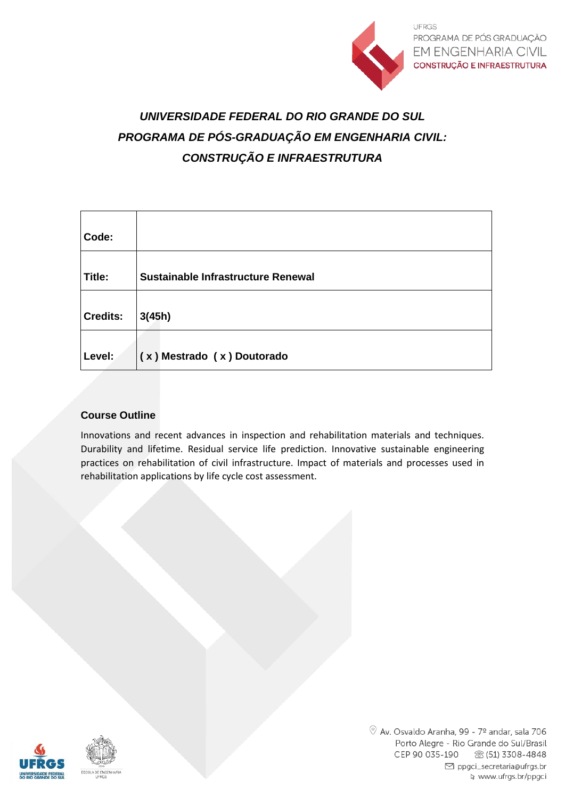

# *UNIVERSIDADE FEDERAL DO RIO GRANDE DO SUL PROGRAMA DE PÓS-GRADUAÇÃO EM ENGENHARIA CIVIL: CONSTRUÇÃO E INFRAESTRUTURA*

| Code:           |                                    |
|-----------------|------------------------------------|
| Title:          | Sustainable Infrastructure Renewal |
| <b>Credits:</b> | 3(45h)                             |
| Level:          | (x) Mestrado (x) Doutorado         |

### **Course Outline**

Innovations and recent advances in inspection and rehabilitation materials and techniques. Durability and lifetime. Residual service life prediction. Innovative sustainable engineering practices on rehabilitation of civil infrastructure. Impact of materials and processes used in rehabilitation applications by life cycle cost assessment.

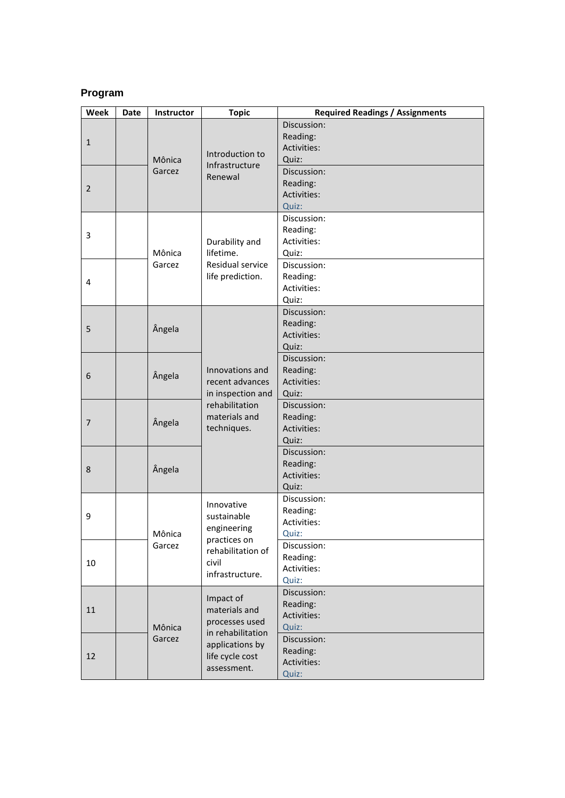# **Program**

| Week           | <b>Date</b> | Instructor       | <b>Topic</b>                                                                                                           | <b>Required Readings / Assignments</b>                 |
|----------------|-------------|------------------|------------------------------------------------------------------------------------------------------------------------|--------------------------------------------------------|
| $\mathbf{1}$   |             | Mônica<br>Garcez | Introduction to<br>Infrastructure                                                                                      | Discussion:<br>Reading:<br><b>Activities:</b><br>Quiz: |
| $\overline{2}$ |             |                  |                                                                                                                        | Renewal                                                |
| 3              |             | Mônica<br>Garcez | Durability and<br>lifetime.                                                                                            | Discussion:<br>Reading:<br>Activities:<br>Quiz:        |
| 4              |             |                  | Residual service<br>life prediction.                                                                                   | Discussion:<br>Reading:<br>Activities:<br>Quiz:        |
| 5              |             | Ângela           | Innovations and<br>recent advances<br>in inspection and<br>rehabilitation<br>materials and<br>techniques.              | Discussion:<br>Reading:<br>Activities:<br>Quiz:        |
| 6              |             | Angela           |                                                                                                                        | Discussion:<br>Reading:<br>Activities:<br>Quiz:        |
| $\overline{7}$ |             | Ângela           |                                                                                                                        | Discussion:<br>Reading:<br>Activities:<br>Quiz:        |
| 8              |             | Ângela           |                                                                                                                        | Discussion:<br>Reading:<br>Activities:<br>Quiz:        |
| 9              |             | Mônica<br>Garcez | Innovative<br>sustainable<br>engineering<br>practices on                                                               | Discussion:<br>Reading:<br><b>Activities:</b><br>Quiz: |
| 10             |             |                  | rehabilitation of<br>civil<br>infrastructure.                                                                          | Discussion:<br>Reading:<br>Activities:<br>Quiz:        |
| 11             |             | Mônica<br>Garcez | Impact of<br>materials and<br>processes used<br>in rehabilitation<br>applications by<br>life cycle cost<br>assessment. | Discussion:<br>Reading:<br>Activities:<br>Quiz:        |
| 12             |             |                  |                                                                                                                        | Discussion:<br>Reading:<br>Activities:<br>Quiz:        |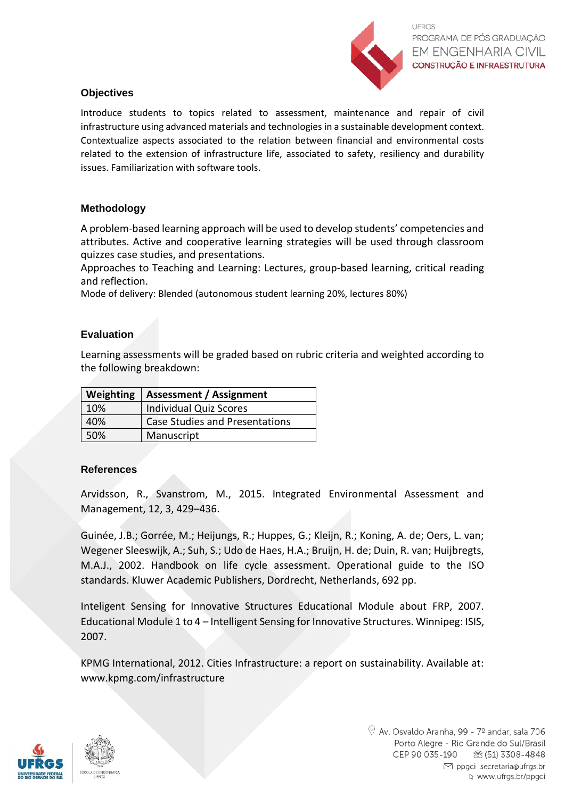

## **Objectives**

Introduce students to topics related to assessment, maintenance and repair of civil infrastructure using advanced materials and technologies in a sustainable development context. Contextualize aspects associated to the relation between financial and environmental costs related to the extension of infrastructure life, associated to safety, resiliency and durability issues. Familiarization with software tools.

### **Methodology**

A problem-based learning approach will be used to develop students' competencies and attributes. Active and cooperative learning strategies will be used through classroom quizzes case studies, and presentations.

Approaches to Teaching and Learning: Lectures, group-based learning, critical reading and reflection.

Mode of delivery: Blended (autonomous student learning 20%, lectures 80%)

# **Evaluation**

Learning assessments will be graded based on rubric criteria and weighted according to the following breakdown:

| Weighting | <b>Assessment / Assignment</b>        |
|-----------|---------------------------------------|
| 10%       | <b>Individual Quiz Scores</b>         |
| 40%       | <b>Case Studies and Presentations</b> |
| 50%       | Manuscript                            |

### **References**

Arvidsson, R., Svanstrom, M., 2015. Integrated Environmental Assessment and Management, 12, 3, 429–436.

Guinée, J.B.; Gorrée, M.; Heijungs, R.; Huppes, G.; Kleijn, R.; Koning, A. de; Oers, L. van; Wegener Sleeswijk, A.; Suh, S.; Udo de Haes, H.A.; Bruijn, H. de; Duin, R. van; Huijbregts, M.A.J., 2002. Handbook on life cycle assessment. Operational guide to the ISO standards. Kluwer Academic Publishers, Dordrecht, Netherlands, 692 pp.

Inteligent Sensing for Innovative Structures Educational Module about FRP, 2007. Educational Module 1 to 4 – Intelligent Sensing for Innovative Structures. Winnipeg: ISIS, 2007.

KPMG International, 2012. Cities Infrastructure: a report on sustainability. Available at: [www.kpmg.com/infrastructure](http://www.kpmg.com/infrastructure)